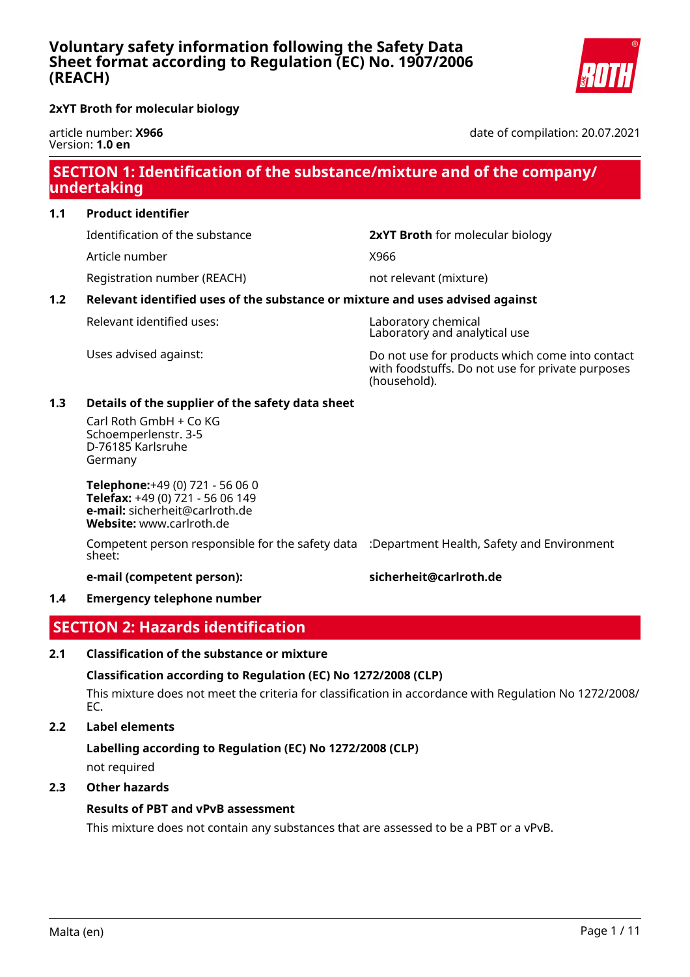

date of compilation: 20.07.2021

#### **2xYT Broth for molecular biology**

article number: **X966** Version: **1.0 en**

### **SECTION 1: Identification of the substance/mixture and of the company/ undertaking**

#### **1.1 Product identifier**

Article number X966

Registration number (REACH) not relevant (mixture)

Identification of the substance **2xYT Broth** for molecular biology

### **1.2 Relevant identified uses of the substance or mixture and uses advised against**

Relevant identified uses: Laboratory chemical

Laboratory and analytical use

Uses advised against: Do not use for products which come into contact with foodstuffs. Do not use for private purposes (household).

#### **1.3 Details of the supplier of the safety data sheet**

Carl Roth GmbH + Co KG Schoemperlenstr. 3-5 D-76185 Karlsruhe Germany

**Telephone:**+49 (0) 721 - 56 06 0 **Telefax:** +49 (0) 721 - 56 06 149 **e-mail:** sicherheit@carlroth.de **Website:** www.carlroth.de

Competent person responsible for the safety data :Department Health, Safety and Environment sheet:

**e-mail (competent person): sicherheit@carlroth.de**

#### **1.4 Emergency telephone number**

### **SECTION 2: Hazards identification**

#### **2.1 Classification of the substance or mixture**

**Classification according to Regulation (EC) No 1272/2008 (CLP)**

This mixture does not meet the criteria for classification in accordance with Regulation No 1272/2008/ EC.

#### **2.2 Label elements**

**Labelling according to Regulation (EC) No 1272/2008 (CLP)**

not required

#### **2.3 Other hazards**

#### **Results of PBT and vPvB assessment**

This mixture does not contain any substances that are assessed to be a PBT or a vPvB.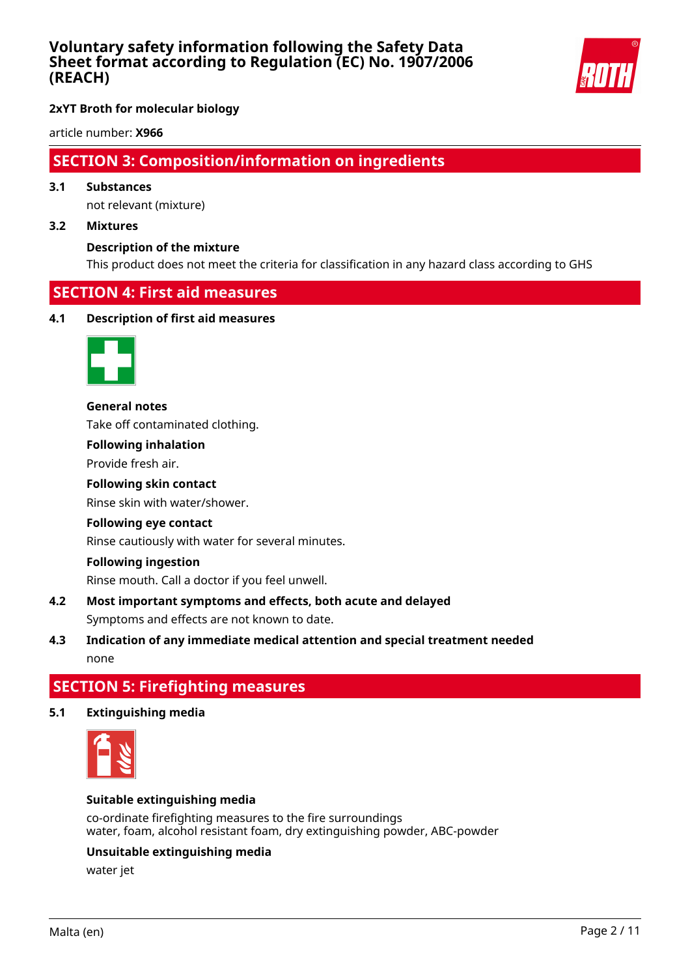

#### **2xYT Broth for molecular biology**

article number: **X966**

### **SECTION 3: Composition/information on ingredients**

#### **3.1 Substances**

not relevant (mixture)

#### **3.2 Mixtures**

#### **Description of the mixture**

This product does not meet the criteria for classification in any hazard class according to GHS

### **SECTION 4: First aid measures**

#### **4.1 Description of first aid measures**



#### **General notes**

Take off contaminated clothing.

**Following inhalation**

Provide fresh air.

#### **Following skin contact**

Rinse skin with water/shower.

#### **Following eye contact**

Rinse cautiously with water for several minutes.

#### **Following ingestion**

Rinse mouth. Call a doctor if you feel unwell.

### **4.2 Most important symptoms and effects, both acute and delayed** Symptoms and effects are not known to date.

**4.3 Indication of any immediate medical attention and special treatment needed** none

## **SECTION 5: Firefighting measures**

**5.1 Extinguishing media**



#### **Suitable extinguishing media**

co-ordinate firefighting measures to the fire surroundings water, foam, alcohol resistant foam, dry extinguishing powder, ABC-powder

#### **Unsuitable extinguishing media**

water jet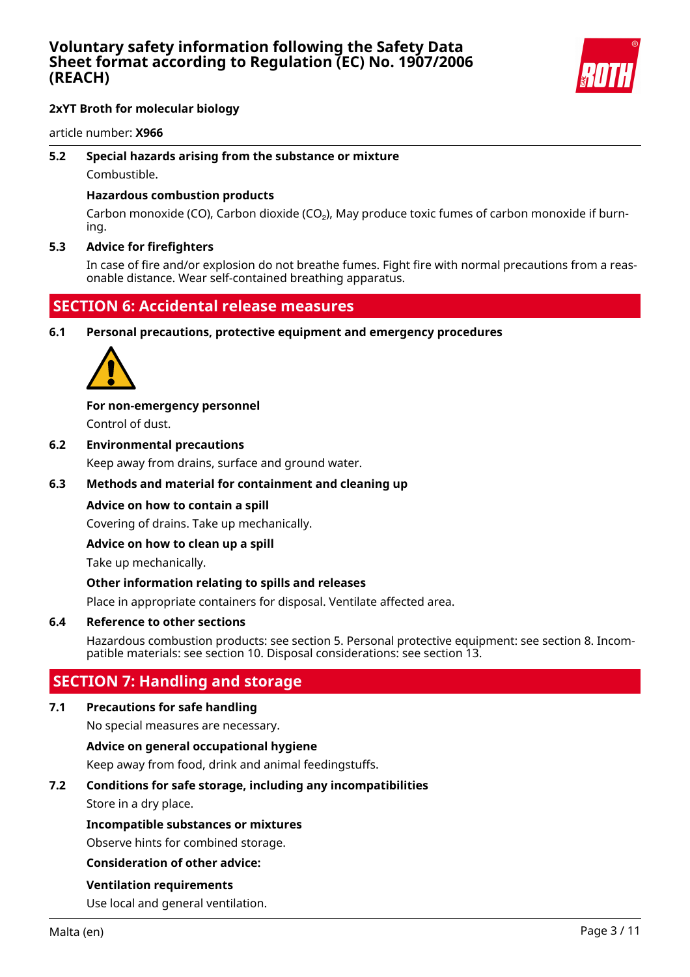

article number: **X966**

#### **5.2 Special hazards arising from the substance or mixture**

Combustible.

#### **Hazardous combustion products**

Carbon monoxide (CO), Carbon dioxide (CO<sub>2</sub>), May produce toxic fumes of carbon monoxide if burning.

#### **5.3 Advice for firefighters**

In case of fire and/or explosion do not breathe fumes. Fight fire with normal precautions from a reasonable distance. Wear self-contained breathing apparatus.

### **SECTION 6: Accidental release measures**

#### **6.1 Personal precautions, protective equipment and emergency procedures**



**For non-emergency personnel**

Control of dust.

#### **6.2 Environmental precautions**

Keep away from drains, surface and ground water.

#### **6.3 Methods and material for containment and cleaning up**

#### **Advice on how to contain a spill**

Covering of drains. Take up mechanically.

**Advice on how to clean up a spill**

Take up mechanically.

#### **Other information relating to spills and releases**

Place in appropriate containers for disposal. Ventilate affected area.

#### **6.4 Reference to other sections**

Hazardous combustion products: see section 5. Personal protective equipment: see section 8. Incompatible materials: see section 10. Disposal considerations: see section 13.

### **SECTION 7: Handling and storage**

#### **7.1 Precautions for safe handling**

No special measures are necessary.

**Advice on general occupational hygiene**

Keep away from food, drink and animal feedingstuffs.

#### **7.2 Conditions for safe storage, including any incompatibilities**

Store in a dry place.

#### **Incompatible substances or mixtures**

Observe hints for combined storage.

#### **Consideration of other advice:**

#### **Ventilation requirements**

Use local and general ventilation.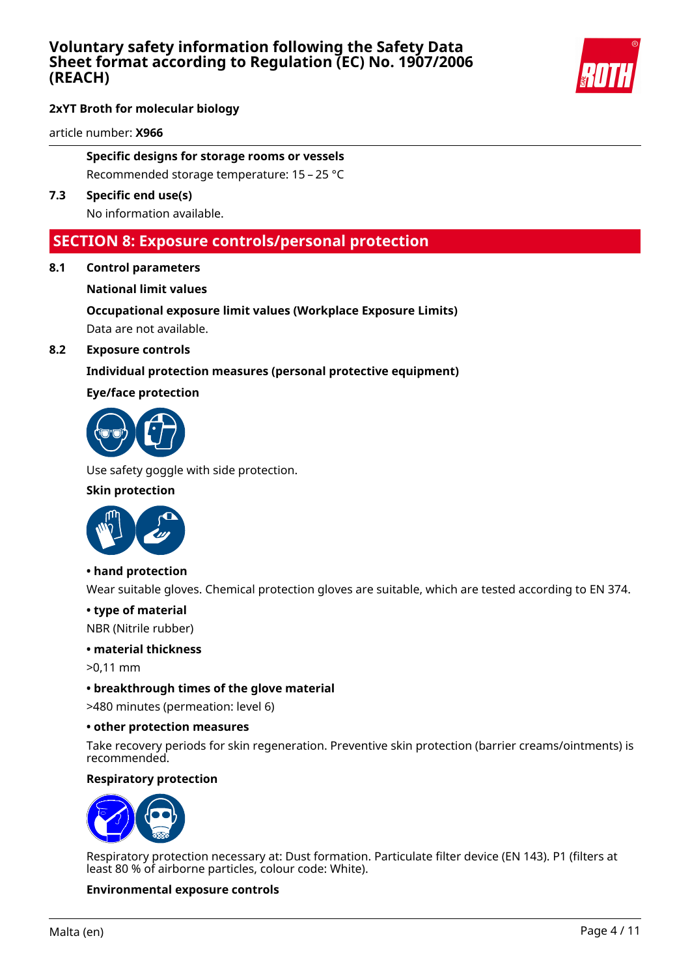

#### **2xYT Broth for molecular biology**

article number: **X966**

**Specific designs for storage rooms or vessels**

Recommended storage temperature: 15 – 25 °C

**7.3 Specific end use(s)**

No information available.

### **SECTION 8: Exposure controls/personal protection**

**8.1 Control parameters**

#### **National limit values**

**Occupational exposure limit values (Workplace Exposure Limits)** Data are not available.

**8.2 Exposure controls**

#### **Individual protection measures (personal protective equipment)**

#### **Eye/face protection**



Use safety goggle with side protection.

#### **Skin protection**



#### **• hand protection**

Wear suitable gloves. Chemical protection gloves are suitable, which are tested according to EN 374.

#### **• type of material**

NBR (Nitrile rubber)

#### **• material thickness**

>0,11 mm

**• breakthrough times of the glove material**

>480 minutes (permeation: level 6)

#### **• other protection measures**

Take recovery periods for skin regeneration. Preventive skin protection (barrier creams/ointments) is recommended.

#### **Respiratory protection**



Respiratory protection necessary at: Dust formation. Particulate filter device (EN 143). P1 (filters at least 80 % of airborne particles, colour code: White).

#### **Environmental exposure controls**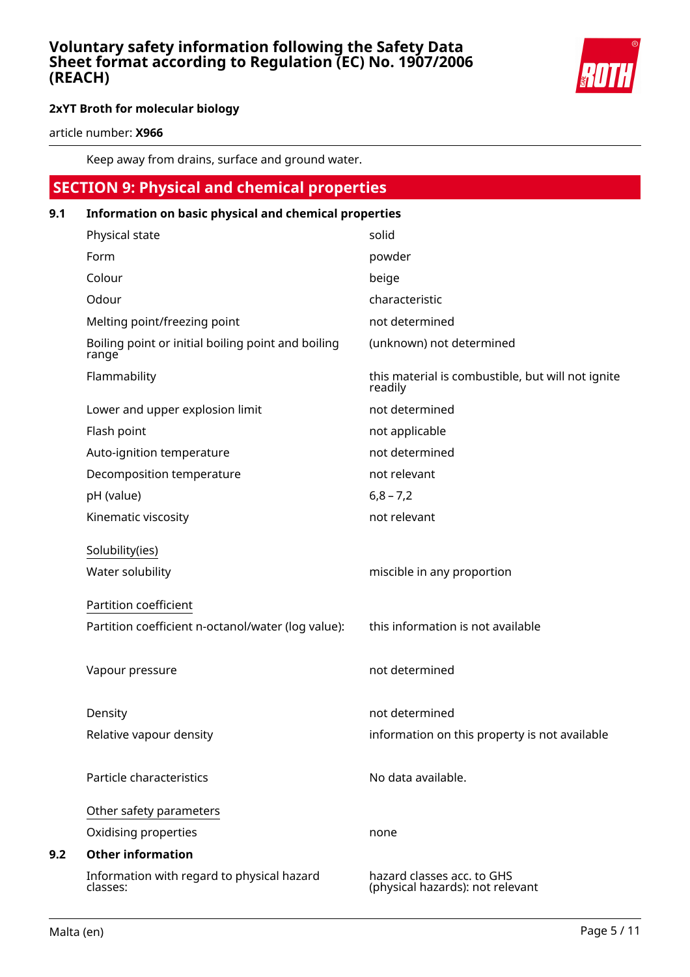

article number: **X966**

Keep away from drains, surface and ground water.

# **SECTION 9: Physical and chemical properties 9.1 Information on basic physical and chemical properties** Physical state solid Form powder Colour beige Odour characteristic Melting point/freezing point not determined Boiling point or initial boiling point and boiling range (unknown) not determined Flammability **Example 20** Flammability this material is combustible, but will not ignite readily Lower and upper explosion limit not determined Flash point **not applicable** Auto-ignition temperature not determined Decomposition temperature not relevant pH (value) 6,8 – 7,2 Kinematic viscosity not relevant Solubility(ies) Water solubility miscible in any proportion Partition coefficient Partition coefficient n-octanol/water (log value): this information is not available Vapour pressure not determined Density **Density** not determined Relative vapour density information on this property is not available Particle characteristics No data available. Other safety parameters Oxidising properties none **9.2 Other information** Information with regard to physical hazard classes: hazard classes acc. to GHS (physical hazards): not relevant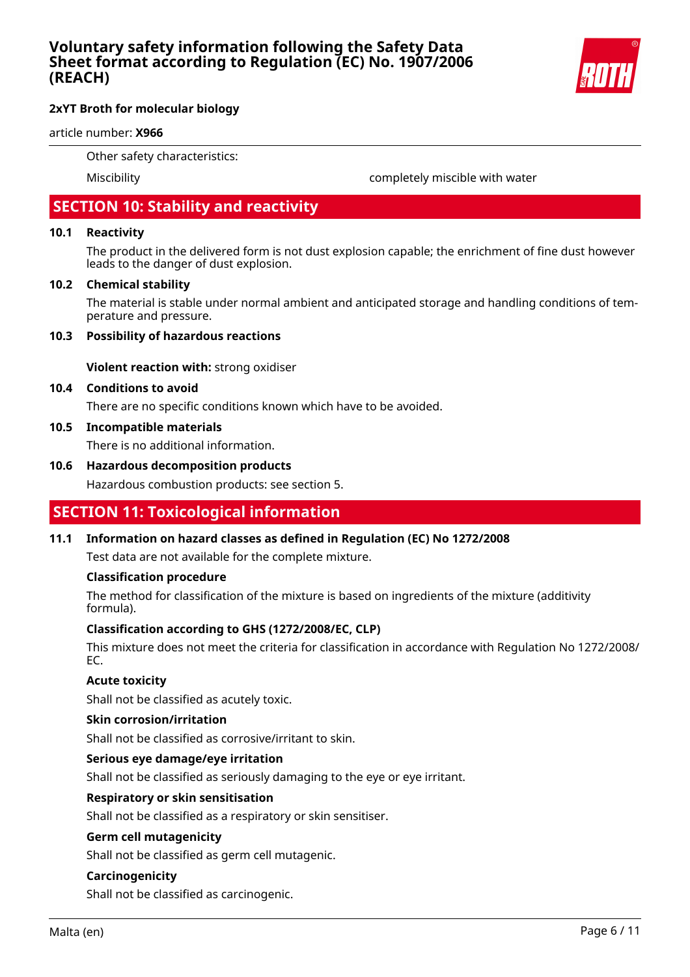

#### **2xYT Broth for molecular biology**

#### article number: **X966**

Other safety characteristics:

Miscibility completely miscible with water

## **SECTION 10: Stability and reactivity**

#### **10.1 Reactivity**

The product in the delivered form is not dust explosion capable; the enrichment of fine dust however leads to the danger of dust explosion.

#### **10.2 Chemical stability**

The material is stable under normal ambient and anticipated storage and handling conditions of temperature and pressure.

#### **10.3 Possibility of hazardous reactions**

**Violent reaction with:** strong oxidiser

#### **10.4 Conditions to avoid**

There are no specific conditions known which have to be avoided.

#### **10.5 Incompatible materials**

There is no additional information.

#### **10.6 Hazardous decomposition products**

Hazardous combustion products: see section 5.

### **SECTION 11: Toxicological information**

#### **11.1 Information on hazard classes as defined in Regulation (EC) No 1272/2008**

Test data are not available for the complete mixture.

#### **Classification procedure**

The method for classification of the mixture is based on ingredients of the mixture (additivity formula).

#### **Classification according to GHS (1272/2008/EC, CLP)**

This mixture does not meet the criteria for classification in accordance with Regulation No 1272/2008/ EC.

#### **Acute toxicity**

Shall not be classified as acutely toxic.

#### **Skin corrosion/irritation**

Shall not be classified as corrosive/irritant to skin.

#### **Serious eye damage/eye irritation**

Shall not be classified as seriously damaging to the eye or eye irritant.

#### **Respiratory or skin sensitisation**

Shall not be classified as a respiratory or skin sensitiser.

#### **Germ cell mutagenicity**

Shall not be classified as germ cell mutagenic.

#### **Carcinogenicity**

Shall not be classified as carcinogenic.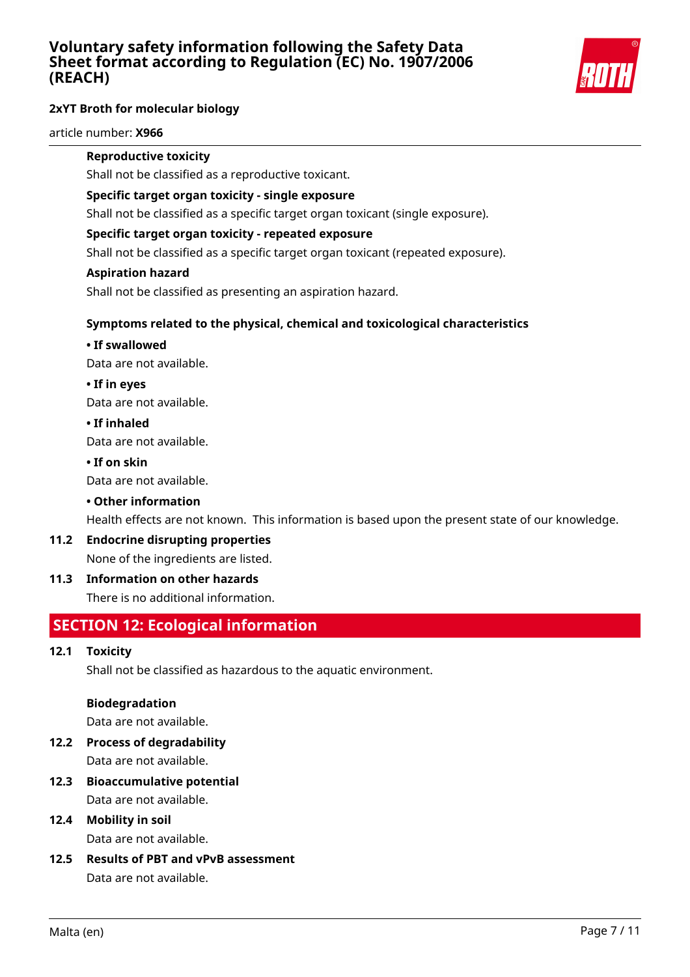

article number: **X966**

#### **Reproductive toxicity**

Shall not be classified as a reproductive toxicant.

#### **Specific target organ toxicity - single exposure**

Shall not be classified as a specific target organ toxicant (single exposure).

#### **Specific target organ toxicity - repeated exposure**

Shall not be classified as a specific target organ toxicant (repeated exposure).

#### **Aspiration hazard**

Shall not be classified as presenting an aspiration hazard.

### **Symptoms related to the physical, chemical and toxicological characteristics**

#### **• If swallowed**

Data are not available.

#### **• If in eyes**

Data are not available.

#### **• If inhaled**

Data are not available.

#### **• If on skin**

Data are not available.

#### **• Other information**

Health effects are not known. This information is based upon the present state of our knowledge.

#### **11.2 Endocrine disrupting properties**

None of the ingredients are listed.

#### **11.3 Information on other hazards**

There is no additional information.

### **SECTION 12: Ecological information**

#### **12.1 Toxicity**

Shall not be classified as hazardous to the aquatic environment.

#### **Biodegradation**

Data are not available.

- **12.2 Process of degradability** Data are not available.
- **12.3 Bioaccumulative potential** Data are not available.

# **12.4 Mobility in soil**

Data are not available.

**12.5 Results of PBT and vPvB assessment** Data are not available.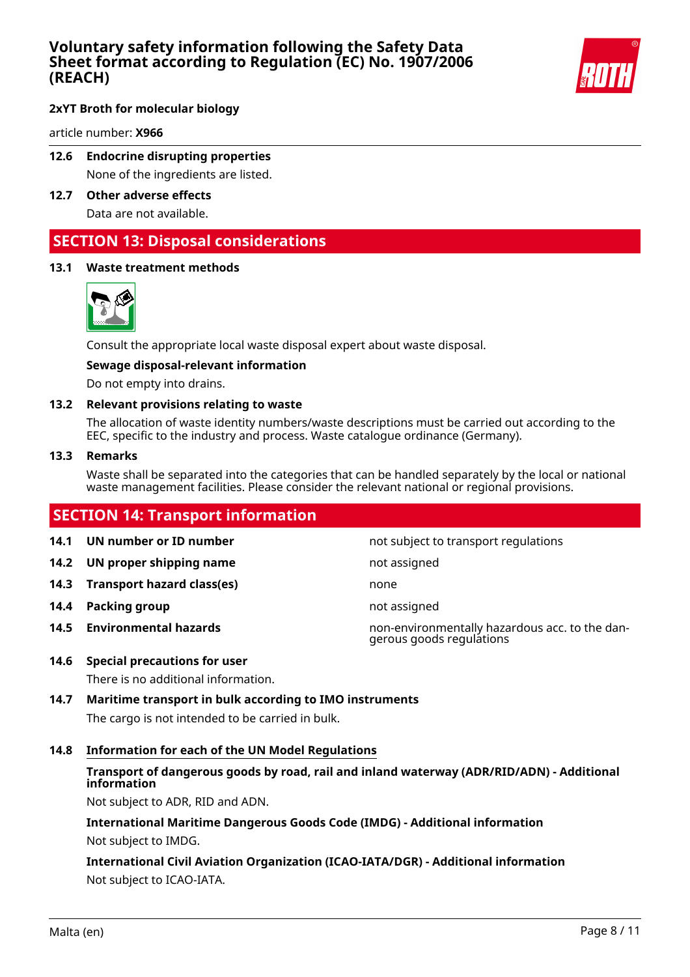

article number: **X966**

### **12.6 Endocrine disrupting properties**

None of the ingredients are listed.

**12.7 Other adverse effects** Data are not available.

### **SECTION 13: Disposal considerations**

#### **13.1 Waste treatment methods**



Consult the appropriate local waste disposal expert about waste disposal.

#### **Sewage disposal-relevant information**

Do not empty into drains.

#### **13.2 Relevant provisions relating to waste**

The allocation of waste identity numbers/waste descriptions must be carried out according to the EEC, specific to the industry and process. Waste catalogue ordinance (Germany).

#### **13.3 Remarks**

Waste shall be separated into the categories that can be handled separately by the local or national waste management facilities. Please consider the relevant national or regional provisions.

### **SECTION 14: Transport information**

- 
- **14.2 UN proper shipping name** not assigned
- **14.3 Transport hazard class(es)** none
- **14.4 Packing group not assigned**
- 

**14.1 UN number or ID number not subject to transport regulations** 

- 
- 
- 
- **14.5 Environmental hazards** non-environmentally hazardous acc. to the dangerous goods regulations
- **14.6 Special precautions for user**

There is no additional information.

**14.7 Maritime transport in bulk according to IMO instruments**

The cargo is not intended to be carried in bulk.

#### **14.8 Information for each of the UN Model Regulations**

#### **Transport of dangerous goods by road, rail and inland waterway (ADR/RID/ADN) - Additional information**

Not subject to ADR, RID and ADN.

# **International Maritime Dangerous Goods Code (IMDG) - Additional information**

Not subject to IMDG.

### **International Civil Aviation Organization (ICAO-IATA/DGR) - Additional information** Not subject to ICAO-IATA.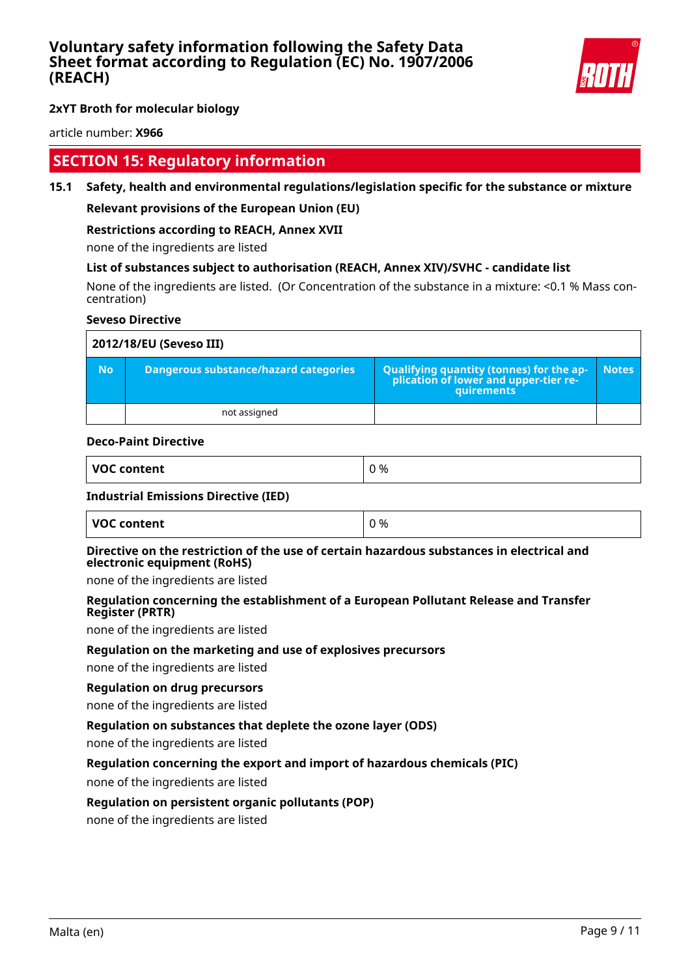

article number: **X966**

### **SECTION 15: Regulatory information**

#### **15.1 Safety, health and environmental regulations/legislation specific for the substance or mixture**

#### **Relevant provisions of the European Union (EU)**

#### **Restrictions according to REACH, Annex XVII**

none of the ingredients are listed

#### **List of substances subject to authorisation (REACH, Annex XIV)/SVHC - candidate list**

None of the ingredients are listed. (Or Concentration of the substance in a mixture: <0.1 % Mass concentration)

#### **Seveso Directive**

| 2012/18/EU (Seveso III) |                                       |                                                                                            |              |
|-------------------------|---------------------------------------|--------------------------------------------------------------------------------------------|--------------|
| <b>No</b>               | Dangerous substance/hazard categories | Qualifying quantity (tonnes) for the application of lower and upper-tier re-<br>quirements | <b>Notes</b> |
|                         | not assigned                          |                                                                                            |              |

#### **Deco-Paint Directive**

| <b>VOC</b><br>content<br>יש | 0 % |
|-----------------------------|-----|
|                             |     |

#### **Industrial Emissions Directive (IED)**

| VOC content | 0 % |
|-------------|-----|
|             |     |

#### **Directive on the restriction of the use of certain hazardous substances in electrical and electronic equipment (RoHS)**

none of the ingredients are listed

#### **Regulation concerning the establishment of a European Pollutant Release and Transfer Register (PRTR)**

none of the ingredients are listed

#### **Regulation on the marketing and use of explosives precursors**

none of the ingredients are listed

### **Regulation on drug precursors**

none of the ingredients are listed

#### **Regulation on substances that deplete the ozone layer (ODS)**

none of the ingredients are listed

#### **Regulation concerning the export and import of hazardous chemicals (PIC)**

none of the ingredients are listed

#### **Regulation on persistent organic pollutants (POP)**

none of the ingredients are listed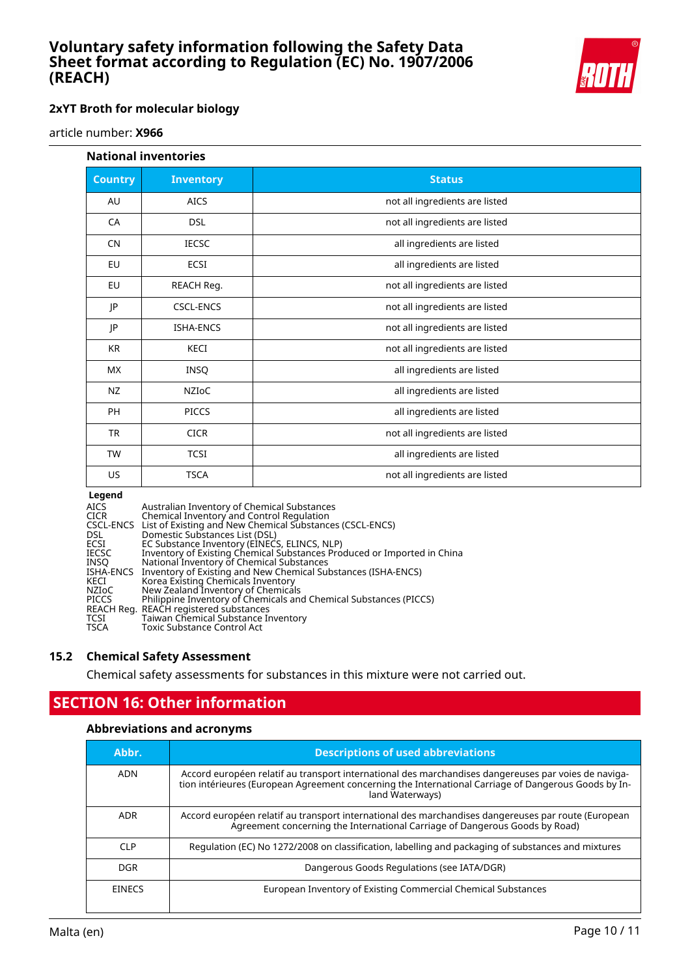

#### **2xYT Broth for molecular biology**

article number: **X966**

| <b>National inventories</b> |
|-----------------------------|
|                             |

| <b>Country</b> | <b>Inventory</b> | <b>Status</b>                  |
|----------------|------------------|--------------------------------|
| AU             | <b>AICS</b>      | not all ingredients are listed |
| CA             | <b>DSL</b>       | not all ingredients are listed |
| <b>CN</b>      | <b>IECSC</b>     | all ingredients are listed     |
| <b>EU</b>      | <b>ECSI</b>      | all ingredients are listed     |
| EU             | REACH Reg.       | not all ingredients are listed |
| JP             | <b>CSCL-ENCS</b> | not all ingredients are listed |
| JP             | <b>ISHA-ENCS</b> | not all ingredients are listed |
| <b>KR</b>      | KECI             | not all ingredients are listed |
| <b>MX</b>      | <b>INSQ</b>      | all ingredients are listed     |
| <b>NZ</b>      | <b>NZIOC</b>     | all ingredients are listed     |
| <b>PH</b>      | <b>PICCS</b>     | all ingredients are listed     |
| <b>TR</b>      | <b>CICR</b>      | not all ingredients are listed |
| <b>TW</b>      | <b>TCSI</b>      | all ingredients are listed     |
| US             | <b>TSCA</b>      | not all ingredients are listed |

#### **Legend**

| <b>AICS</b>  | Australian Inventory of Chemical Substances                             |
|--------------|-------------------------------------------------------------------------|
| <b>CICR</b>  | Chemical Inventory and Control Regulation                               |
|              | CSCL-ENCS List of Existing and New Chemical Substances (CSCL-ENCS)      |
| DSL.         | Domestic Substances List (DSL)                                          |
| <b>ECSI</b>  | EC Substance Inventory (EINECS, ELINCS, NLP)                            |
| <b>IECSC</b> | Inventory of Existing Chemical Substances Produced or Imported in China |
| INSO         | National Inventory of Chemical Substances                               |
| ISHA-ENCS    | Inventory of Existing and New Chemical Substances (ISHA-ENCS)           |
| KECI         | Korea Existing Chemicals Inventory                                      |
| NZIoC        | New Zealand Inventory of Chemicals                                      |
| <b>PICCS</b> | Philippine Inventory of Chemicals and Chemical Substances (PICCS)       |
|              | REACH Reg. REACH registered substances                                  |
| TCSI         | Taiwan Chemical Substance Inventory                                     |
| <b>TSCA</b>  | Toxic Substance Control Act                                             |

#### **15.2 Chemical Safety Assessment**

Chemical safety assessments for substances in this mixture were not carried out.

## **SECTION 16: Other information**

#### **Abbreviations and acronyms**

| Abbr.           | <b>Descriptions of used abbreviations</b>                                                                                                                                                                                       |
|-----------------|---------------------------------------------------------------------------------------------------------------------------------------------------------------------------------------------------------------------------------|
| <b>ADN</b>      | Accord européen relatif au transport international des marchandises dangereuses par voies de naviga-<br>tion intérieures (European Agreement concerning the International Carriage of Dangerous Goods by In-<br>land Waterways) |
| <b>ADR</b>      | Accord européen relatif au transport international des marchandises dangereuses par route (European<br>Agreement concerning the International Carriage of Dangerous Goods by Road)                                              |
| CLP <sup></sup> | Regulation (EC) No 1272/2008 on classification, labelling and packaging of substances and mixtures                                                                                                                              |
| <b>DGR</b>      | Dangerous Goods Regulations (see IATA/DGR)                                                                                                                                                                                      |
| <b>EINECS</b>   | European Inventory of Existing Commercial Chemical Substances                                                                                                                                                                   |